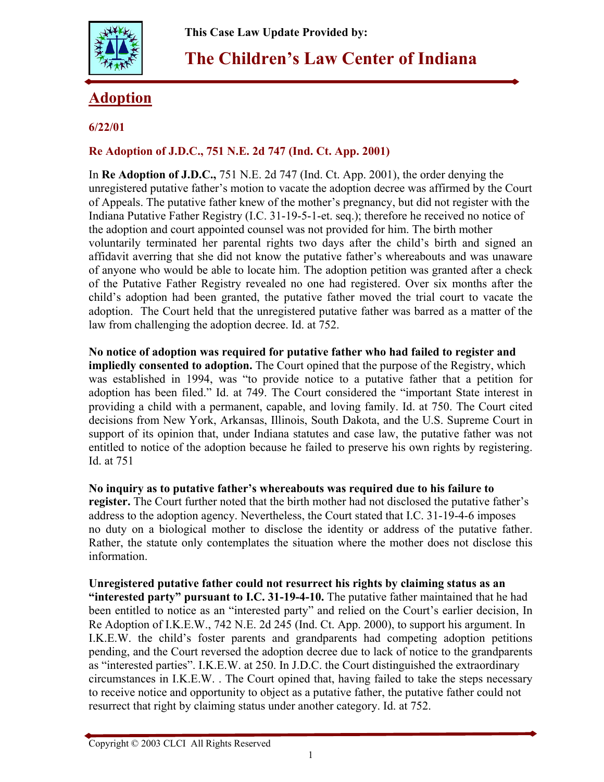



## **The Children's Law Center of Indiana**

## **Adoption**

## **6/22/01**

## **Re Adoption of J.D.C., 751 N.E. 2d 747 (Ind. Ct. App. 2001)**

In **Re Adoption of J.D.C.,** 751 N.E. 2d 747 (Ind. Ct. App. 2001), the order denying the unregistered putative father's motion to vacate the adoption decree was affirmed by the Court of Appeals. The putative father knew of the mother's pregnancy, but did not register with the Indiana Putative Father Registry (I.C. 31-19-5-1-et. seq.); therefore he received no notice of the adoption and court appointed counsel was not provided for him. The birth mother voluntarily terminated her parental rights two days after the child's birth and signed an affidavit averring that she did not know the putative father's whereabouts and was unaware of anyone who would be able to locate him. The adoption petition was granted after a check of the Putative Father Registry revealed no one had registered. Over six months after the child's adoption had been granted, the putative father moved the trial court to vacate the adoption. The Court held that the unregistered putative father was barred as a matter of the law from challenging the adoption decree. Id. at 752.

**No notice of adoption was required for putative father who had failed to register and impliedly consented to adoption.** The Court opined that the purpose of the Registry, which was established in 1994, was "to provide notice to a putative father that a petition for adoption has been filed." Id. at 749. The Court considered the "important State interest in providing a child with a permanent, capable, and loving family. Id. at 750. The Court cited decisions from New York, Arkansas, Illinois, South Dakota, and the U.S. Supreme Court in support of its opinion that, under Indiana statutes and case law, the putative father was not entitled to notice of the adoption because he failed to preserve his own rights by registering. Id. at 751

**No inquiry as to putative father's whereabouts was required due to his failure to register.** The Court further noted that the birth mother had not disclosed the putative father's address to the adoption agency. Nevertheless, the Court stated that I.C. 31-19-4-6 imposes no duty on a biological mother to disclose the identity or address of the putative father. Rather, the statute only contemplates the situation where the mother does not disclose this information.

**Unregistered putative father could not resurrect his rights by claiming status as an "interested party" pursuant to I.C. 31-19-4-10.** The putative father maintained that he had been entitled to notice as an "interested party" and relied on the Court's earlier decision, In Re Adoption of I.K.E.W., 742 N.E. 2d 245 (Ind. Ct. App. 2000), to support his argument. In I.K.E.W. the child's foster parents and grandparents had competing adoption petitions pending, and the Court reversed the adoption decree due to lack of notice to the grandparents as "interested parties". I.K.E.W. at 250. In J.D.C. the Court distinguished the extraordinary circumstances in I.K.E.W. . The Court opined that, having failed to take the steps necessary to receive notice and opportunity to object as a putative father, the putative father could not resurrect that right by claiming status under another category. Id. at 752.